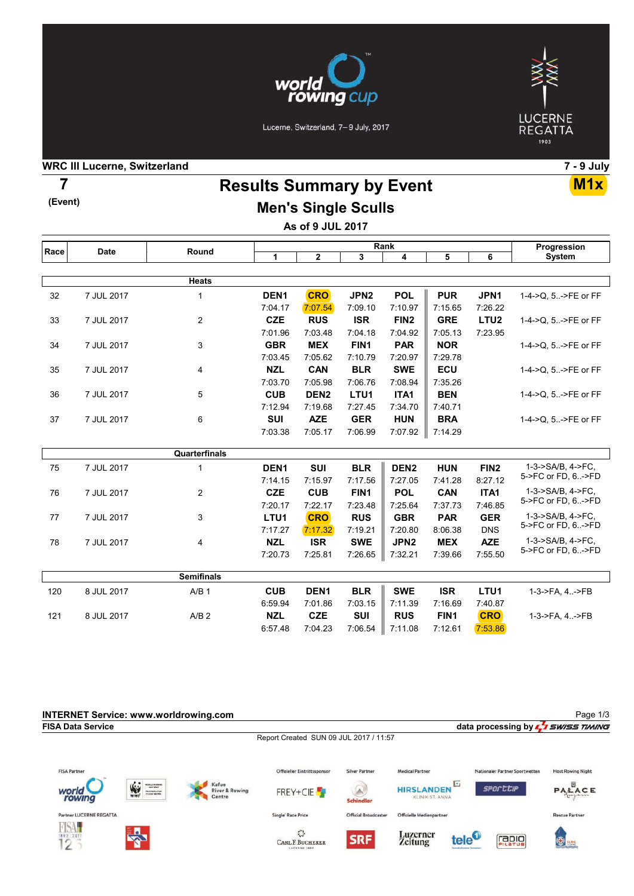



### Lucerne, Switzerland, 7-9 July, 2017

### WRC III Lucerne, Switzerland 7 - 9 July

(Event)

## Results Summary by Event 7 M1x Men's Single Sculls

As of 9 JUL 2017

| Race | <b>Date</b> | Round             | Rank             |                  |                  |                  |                  |                  | Progression                             |  |
|------|-------------|-------------------|------------------|------------------|------------------|------------------|------------------|------------------|-----------------------------------------|--|
|      |             |                   | $\mathbf{1}$     | $\overline{2}$   | 3                | 4                | 5                | 6                | <b>System</b>                           |  |
|      |             |                   |                  |                  |                  |                  |                  |                  |                                         |  |
|      |             | <b>Heats</b>      |                  |                  |                  |                  |                  |                  |                                         |  |
| 32   | 7 JUL 2017  | 1                 | DEN <sub>1</sub> | <b>CRO</b>       | JPN <sub>2</sub> | <b>POL</b>       | <b>PUR</b>       | JPN1             | 1-4->Q, 5->FE or FF                     |  |
|      |             |                   | 7:04.17          | 7:07.54          | 7:09.10          | 7:10.97          | 7:15.65          | 7:26.22          |                                         |  |
| 33   | 7 JUL 2017  | $\overline{2}$    | <b>CZE</b>       | <b>RUS</b>       | <b>ISR</b>       | FIN <sub>2</sub> | <b>GRE</b>       | LTU <sub>2</sub> | 1-4->Q, 5->FE or FF                     |  |
|      |             |                   | 7:01.96          | 7:03.48          | 7:04.18          | 7:04.92          | 7:05.13          | 7:23.95          |                                         |  |
| 34   | 7 JUL 2017  | 3                 | <b>GBR</b>       | <b>MEX</b>       | FIN1             | <b>PAR</b>       | <b>NOR</b>       |                  | 1-4->Q, 5->FE or FF                     |  |
|      |             |                   | 7:03.45          | 7:05.62          | 7:10.79          | 7:20.97          | 7:29.78          |                  |                                         |  |
| 35   | 7 JUL 2017  | 4                 | <b>NZL</b>       | CAN              | <b>BLR</b>       | <b>SWE</b>       | ECU              |                  | 1-4->Q, 5->FE or FF                     |  |
|      |             |                   | 7:03.70          | 7:05.98          | 7:06.76          | 7:08.94          | 7:35.26          |                  |                                         |  |
| 36   | 7 JUL 2017  | 5                 | <b>CUB</b>       | DEN <sub>2</sub> | LTU1             | ITA1             | <b>BEN</b>       |                  | 1-4->Q, 5->FE or FF                     |  |
|      |             |                   | 7:12.94          | 7:19.68          | 7:27.45          | 7:34.70          | 7:40.71          |                  |                                         |  |
| 37   | 7 JUL 2017  | 6                 | <b>SUI</b>       | <b>AZE</b>       | <b>GER</b>       | <b>HUN</b>       | <b>BRA</b>       |                  | 1-4->Q, 5->FE or FF                     |  |
|      |             |                   | 7:03.38          | 7:05.17          | 7:06.99          | 7:07.92          | 7:14.29          |                  |                                         |  |
|      |             |                   |                  |                  |                  |                  |                  |                  |                                         |  |
|      |             | Quarterfinals     |                  |                  |                  |                  |                  |                  |                                         |  |
| 75   | 7 JUL 2017  | 1                 | DEN <sub>1</sub> | <b>SUI</b>       | <b>BLR</b>       | DEN <sub>2</sub> | <b>HUN</b>       | FIN <sub>2</sub> | 1-3->SA/B, 4->FC,                       |  |
|      |             |                   | 7:14.15          | 7:15.97          | 7:17.56          | 7:27.05          | 7:41.28          | 8:27.12          | 5->FC or FD, 6->FD                      |  |
| 76   | 7 JUL 2017  | $\overline{2}$    | <b>CZE</b>       | <b>CUB</b>       | FIN <sub>1</sub> | <b>POL</b>       | <b>CAN</b>       | ITA1             | 1-3->SA/B. 4->FC.                       |  |
|      |             |                   | 7:20.17          | 7:22.17          | 7:23.48          | 7:25.64          | 7:37.73          | 7:46.85          | 5->FC or FD, 6->FD                      |  |
| 77   | 7 JUL 2017  | 3                 | LTU1             | <b>CRO</b>       | <b>RUS</b>       | <b>GBR</b>       | <b>PAR</b>       | <b>GER</b>       | 1-3->SA/B. 4->FC.<br>5->FC or FD, 6->FD |  |
|      |             |                   | 7:17.27          | 7:17.32          | 7:19.21          | 7:20.80          | 8:06.38          | <b>DNS</b>       |                                         |  |
| 78   | 7 JUL 2017  | 4                 | <b>NZL</b>       | <b>ISR</b>       | <b>SWE</b>       | JPN <sub>2</sub> | <b>MEX</b>       | <b>AZE</b>       | 1-3->SA/B, 4->FC,                       |  |
|      |             |                   | 7:20.73          | 7:25.81          | 7:26.65          | 7:32.21          | 7:39.66          | 7:55.50          | 5->FC or FD, 6->FD                      |  |
|      |             | <b>Semifinals</b> |                  |                  |                  |                  |                  |                  |                                         |  |
| 120  | 8 JUL 2017  | A/B <sub>1</sub>  | <b>CUB</b>       | DEN <sub>1</sub> | <b>BLR</b>       | <b>SWE</b>       | <b>ISR</b>       | LTU <sub>1</sub> |                                         |  |
|      |             |                   |                  |                  |                  |                  |                  |                  | 1-3->FA, 4->FB                          |  |
|      |             |                   | 6:59.94          | 7:01.86          | 7:03.15          | 7:11.39          | 7:16.69          | 7:40.87          |                                         |  |
| 121  | 8 JUL 2017  | A/B <sub>2</sub>  | <b>NZL</b>       | <b>CZE</b>       | <b>SUI</b>       | <b>RUS</b>       | FIN <sub>1</sub> | <b>CRO</b>       | 1-3->FA, 4.->FB                         |  |
|      |             |                   | 6:57.48          | 7:04.23          | 7:06.54          | 7:11.08          | 7:12.61          | 7:53.86          |                                         |  |

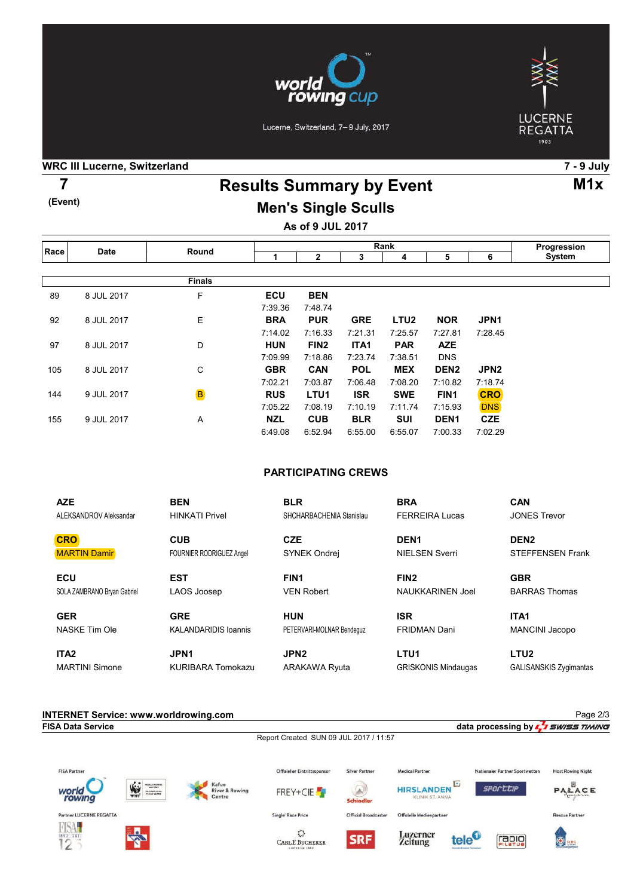

Lucerne, Switzerland, 7-9 July, 2017



### WRC III Lucerne, Switzerland 7 - 9 July

(Event)

# Results Summary by Event 7 M1x Men's Single Sculls

As of 9 JUL 2017

| Race | <b>Date</b> | Round         | Rank       |                  |            |                  |                  |                  | Progression |
|------|-------------|---------------|------------|------------------|------------|------------------|------------------|------------------|-------------|
|      |             |               |            | 2                | 3          | 4                | 5                | 6                | System      |
|      |             |               |            |                  |            |                  |                  |                  |             |
|      |             | <b>Finals</b> |            |                  |            |                  |                  |                  |             |
| 89   | 8 JUL 2017  | F             | <b>ECU</b> | <b>BEN</b>       |            |                  |                  |                  |             |
|      |             |               | 7:39.36    | 7:48.74          |            |                  |                  |                  |             |
| 92   | 8 JUL 2017  | Ε             | <b>BRA</b> | <b>PUR</b>       | <b>GRE</b> | LTU <sub>2</sub> | <b>NOR</b>       | JPN <sub>1</sub> |             |
|      |             |               | 7:14.02    | 7:16.33          | 7:21.31    | 7:25.57          | 7:27.81          | 7:28.45          |             |
| 97   | 8 JUL 2017  | D             | <b>HUN</b> | FIN <sub>2</sub> | ITA1       | <b>PAR</b>       | <b>AZE</b>       |                  |             |
|      |             |               | 7:09.99    | 7:18.86          | 7:23.74    | 7:38.51          | <b>DNS</b>       |                  |             |
| 105  | 8 JUL 2017  | С             | <b>GBR</b> | <b>CAN</b>       | <b>POL</b> | <b>MEX</b>       | DEN <sub>2</sub> | JPN <sub>2</sub> |             |
|      |             |               | 7:02.21    | 7:03.87          | 7:06.48    | 7:08.20          | 7:10.82          | 7:18.74          |             |
| 144  | 9 JUL 2017  | B             | <b>RUS</b> | LTU <sub>1</sub> | <b>ISR</b> | <b>SWE</b>       | FIN <sub>1</sub> | <b>CRO</b>       |             |
|      |             |               | 7:05.22    | 7:08.19          | 7:10.19    | 7:11.74          | 7:15.93          | <b>DNS</b>       |             |
| 155  | 9 JUL 2017  | Α             | <b>NZL</b> | <b>CUB</b>       | <b>BLR</b> | <b>SUI</b>       | DEN <sub>1</sub> | <b>CZE</b>       |             |
|      |             |               | 6:49.08    | 6:52.94          | 6:55.00    | 6:55.07          | 7:00.33          | 7:02.29          |             |

### PARTICIPATING CREWS

| <b>AZE</b>                  | <b>BEN</b>                      | <b>BLR</b>                | <b>BRA</b>                 | <b>CAN</b>                    |
|-----------------------------|---------------------------------|---------------------------|----------------------------|-------------------------------|
| ALEKSANDROV Aleksandar      | <b>HINKATI Privel</b>           | SHCHARBACHENIA Stanislau  | <b>FERREIRA Lucas</b>      | <b>JONES Trevor</b>           |
| <b>CRO</b>                  | <b>CUB</b>                      | <b>CZE</b>                | DEN <sub>1</sub>           | DEN <sub>2</sub>              |
| <b>MARTIN Damir</b>         | <b>FOURNIER RODRIGUEZ Angel</b> | SYNEK Ondrej              | <b>NIELSEN Sverri</b>      | <b>STEFFENSEN Frank</b>       |
| <b>ECU</b>                  | <b>EST</b>                      | FIN <sub>1</sub>          | FIN <sub>2</sub>           | <b>GBR</b>                    |
| SOLA ZAMBRANO Bryan Gabriel | LAOS Joosep                     | <b>VEN Robert</b>         | <b>NAUKKARINEN Joel</b>    | <b>BARRAS Thomas</b>          |
| <b>GER</b>                  | <b>GRE</b>                      | <b>HUN</b>                | <b>ISR</b>                 | ITA <sub>1</sub>              |
| NASKE Tim Ole               | <b>KALANDARIDIS Ioannis</b>     | PETERVARI-MOLNAR Bendequz | <b>FRIDMAN Dani</b>        | <b>MANCINI Jacopo</b>         |
| ITA <sub>2</sub>            | JPN <sub>1</sub>                | JPN <sub>2</sub>          | LTU <sub>1</sub>           | LTU <sub>2</sub>              |
| <b>MARTINI Simone</b>       | <b>KURIBARA Tomokazu</b>        | <b>ARAKAWA Ryuta</b>      | <b>GRISKONIS Mindaugas</b> | <b>GALISANSKIS Zygimantas</b> |

| <b>INTERNET Service: www.worldrowing.com</b> |
|----------------------------------------------|
| <b>FISA Data Service</b>                     |
|                                              |

Report Created SUN 09 JUL 2017 / 11:57



data processing by  $\frac{1}{2}$  swiss TIMING











Offizielle Medienpartner





Page 2/3

Rescue Partner



 $\tilde{\mathcal{C}}$ CARL F. BUCHERER

Single' Race Price



Luzerner<br>Zeitung